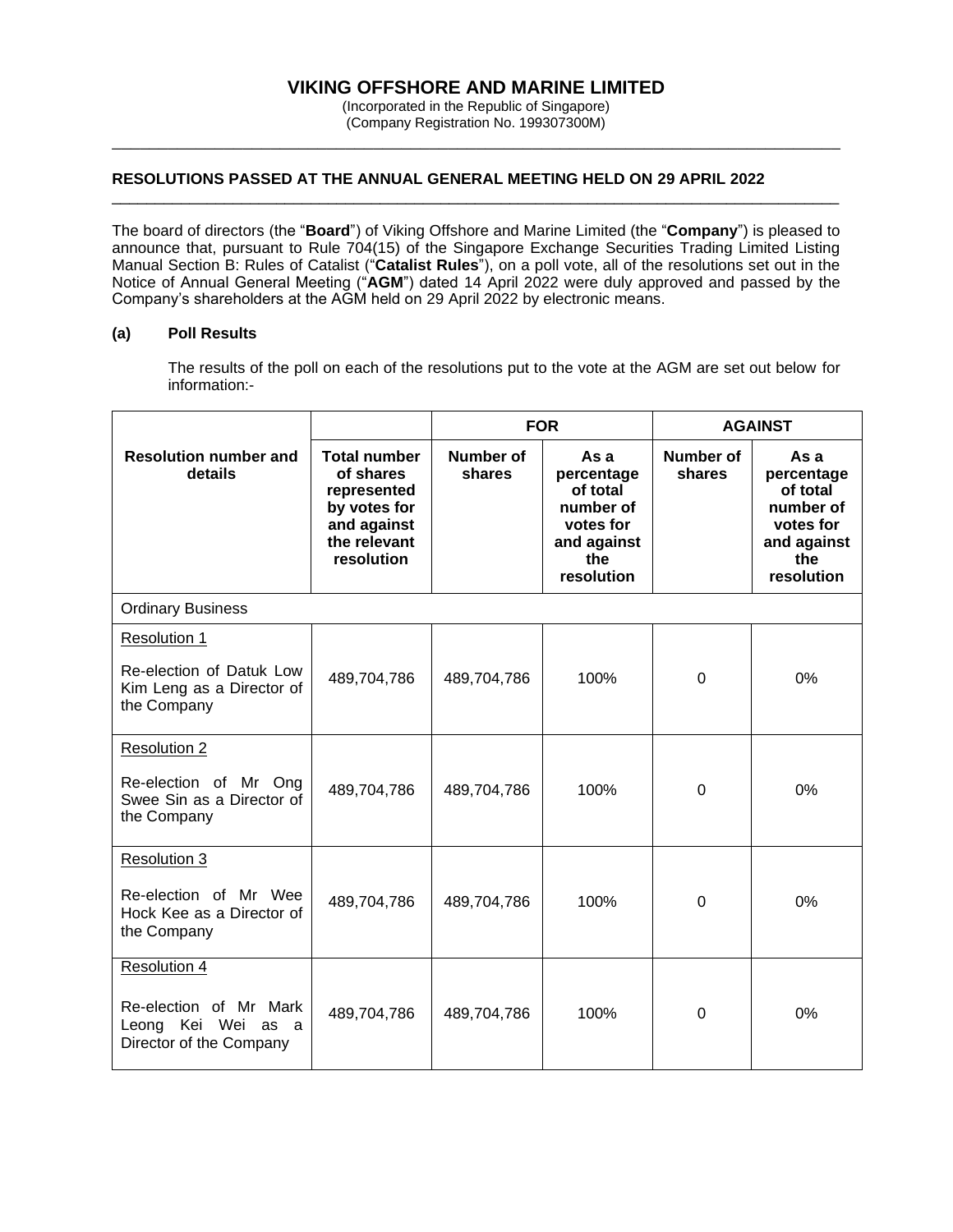# **VIKING OFFSHORE AND MARINE LIMITED**

(Incorporated in the Republic of Singapore) (Company Registration No. 199307300M) \_\_\_\_\_\_\_\_\_\_\_\_\_\_\_\_\_\_\_\_\_\_\_\_\_\_\_\_\_\_\_\_\_\_\_\_\_\_\_\_\_\_\_\_\_\_\_\_\_\_\_\_\_\_\_\_\_\_\_\_\_\_\_\_\_\_\_\_\_\_\_\_\_\_\_\_\_\_

### **RESOLUTIONS PASSED AT THE ANNUAL GENERAL MEETING HELD ON 29 APRIL 2022**

The board of directors (the "**Board**") of Viking Offshore and Marine Limited (the "**Company**") is pleased to announce that, pursuant to Rule 704(15) of the Singapore Exchange Securities Trading Limited Listing Manual Section B: Rules of Catalist ("**Catalist Rules**"), on a poll vote, all of the resolutions set out in the Notice of Annual General Meeting ("**AGM**") dated 14 April 2022 were duly approved and passed by the Company's shareholders at the AGM held on 29 April 2022 by electronic means.

\_\_\_\_\_\_\_\_\_\_\_\_\_\_\_\_\_\_\_\_\_\_\_\_\_\_\_\_\_\_\_\_\_\_\_\_\_\_\_\_\_\_\_\_\_\_\_\_\_\_\_\_\_\_\_\_\_\_\_\_\_\_\_\_\_\_\_\_\_\_\_\_\_\_\_\_\_\_\_\_\_\_\_\_

#### **(a) Poll Results**

The results of the poll on each of the resolutions put to the vote at the AGM are set out below for information:-

|                                                                                                |                                                                                                              | <b>FOR</b>          |                                                                                              | <b>AGAINST</b>             |                                                                                              |  |  |  |
|------------------------------------------------------------------------------------------------|--------------------------------------------------------------------------------------------------------------|---------------------|----------------------------------------------------------------------------------------------|----------------------------|----------------------------------------------------------------------------------------------|--|--|--|
| <b>Resolution number and</b><br>details                                                        | <b>Total number</b><br>of shares<br>represented<br>by votes for<br>and against<br>the relevant<br>resolution | Number of<br>shares | As a<br>percentage<br>of total<br>number of<br>votes for<br>and against<br>the<br>resolution | <b>Number of</b><br>shares | As a<br>percentage<br>of total<br>number of<br>votes for<br>and against<br>the<br>resolution |  |  |  |
| <b>Ordinary Business</b>                                                                       |                                                                                                              |                     |                                                                                              |                            |                                                                                              |  |  |  |
| <b>Resolution 1</b><br>Re-election of Datuk Low<br>Kim Leng as a Director of<br>the Company    | 489,704,786                                                                                                  | 489,704,786         | 100%                                                                                         | 0                          | 0%                                                                                           |  |  |  |
| <b>Resolution 2</b><br>Re-election of Mr Ong<br>Swee Sin as a Director of<br>the Company       | 489,704,786                                                                                                  | 489,704,786         | 100%                                                                                         | $\Omega$                   | 0%                                                                                           |  |  |  |
| <b>Resolution 3</b><br>Re-election of Mr Wee<br>Hock Kee as a Director of<br>the Company       | 489,704,786                                                                                                  | 489,704,786         | 100%                                                                                         | 0                          | 0%                                                                                           |  |  |  |
| <b>Resolution 4</b><br>Re-election of Mr Mark<br>Leong Kei Wei as a<br>Director of the Company | 489,704,786                                                                                                  | 489,704,786         | 100%                                                                                         | 0                          | 0%                                                                                           |  |  |  |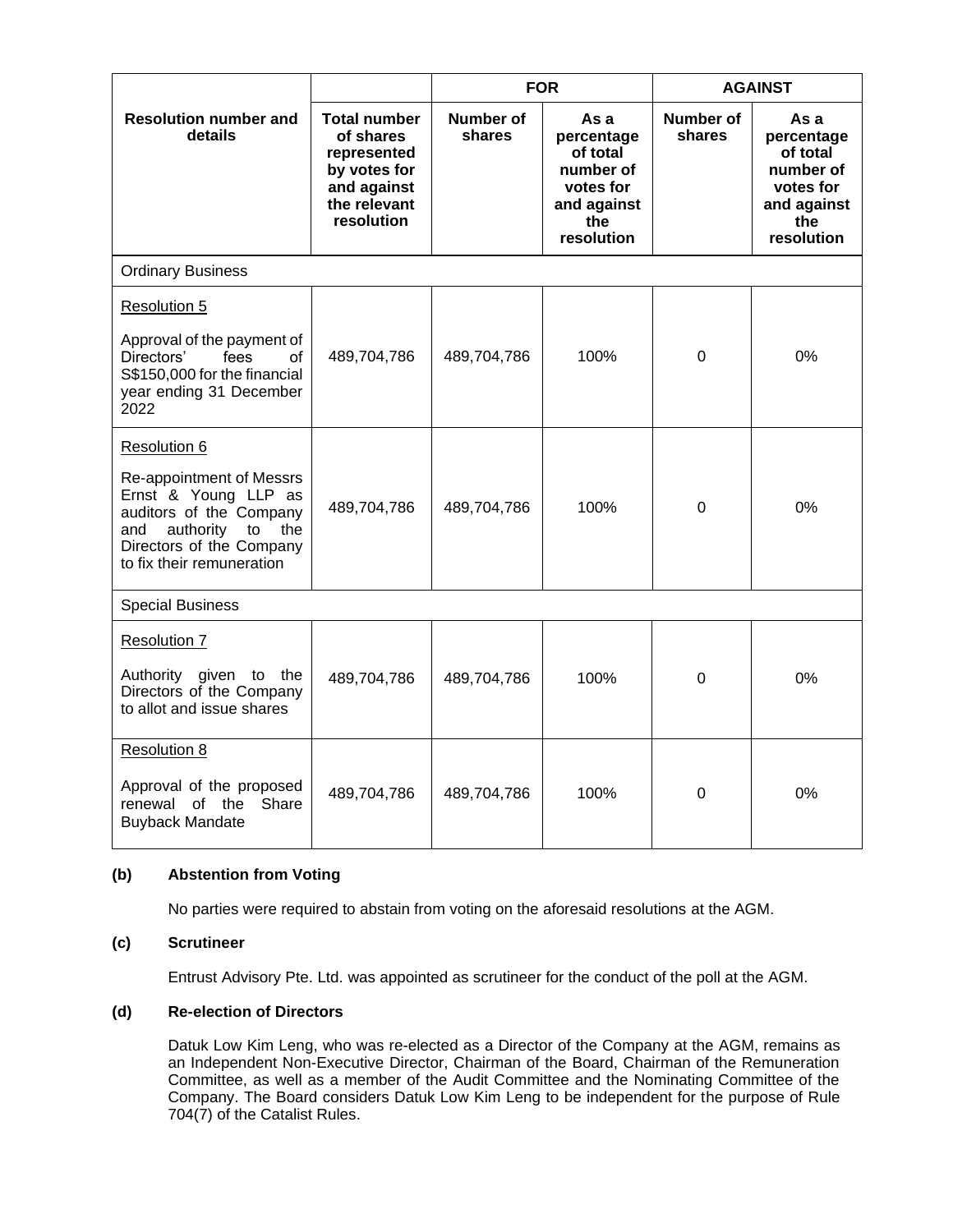|                                                                                                                                                                                       |                                                                                                              | <b>FOR</b>                 |                                                                                              | <b>AGAINST</b>      |                                                                                              |  |  |  |
|---------------------------------------------------------------------------------------------------------------------------------------------------------------------------------------|--------------------------------------------------------------------------------------------------------------|----------------------------|----------------------------------------------------------------------------------------------|---------------------|----------------------------------------------------------------------------------------------|--|--|--|
| <b>Resolution number and</b><br>details                                                                                                                                               | <b>Total number</b><br>of shares<br>represented<br>by votes for<br>and against<br>the relevant<br>resolution | <b>Number of</b><br>shares | As a<br>percentage<br>of total<br>number of<br>votes for<br>and against<br>the<br>resolution | Number of<br>shares | As a<br>percentage<br>of total<br>number of<br>votes for<br>and against<br>the<br>resolution |  |  |  |
| <b>Ordinary Business</b>                                                                                                                                                              |                                                                                                              |                            |                                                                                              |                     |                                                                                              |  |  |  |
| Resolution 5                                                                                                                                                                          |                                                                                                              |                            |                                                                                              |                     |                                                                                              |  |  |  |
| Approval of the payment of<br>Directors'<br>fees<br>of<br>S\$150,000 for the financial<br>year ending 31 December<br>2022                                                             | 489,704,786                                                                                                  | 489,704,786                | 100%                                                                                         | 0                   | 0%                                                                                           |  |  |  |
| Resolution 6<br>Re-appointment of Messrs<br>Ernst & Young LLP as<br>auditors of the Company<br>authority<br>and<br>to<br>the<br>Directors of the Company<br>to fix their remuneration | 489,704,786                                                                                                  | 489,704,786                | 100%                                                                                         | $\Omega$            | 0%                                                                                           |  |  |  |
| <b>Special Business</b>                                                                                                                                                               |                                                                                                              |                            |                                                                                              |                     |                                                                                              |  |  |  |
| <b>Resolution 7</b><br>Authority given to the<br>Directors of the Company<br>to allot and issue shares                                                                                | 489,704,786                                                                                                  | 489,704,786                | 100%                                                                                         | 0                   | 0%                                                                                           |  |  |  |
| Resolution 8<br>Approval of the proposed<br>renewal of the<br>Share<br><b>Buyback Mandate</b>                                                                                         | 489,704,786                                                                                                  | 489,704,786                | 100%                                                                                         | 0                   | 0%                                                                                           |  |  |  |

## **(b) Abstention from Voting**

No parties were required to abstain from voting on the aforesaid resolutions at the AGM.

### **(c) Scrutineer**

Entrust Advisory Pte. Ltd. was appointed as scrutineer for the conduct of the poll at the AGM.

### **(d) Re-election of Directors**

Datuk Low Kim Leng, who was re-elected as a Director of the Company at the AGM, remains as an Independent Non-Executive Director, Chairman of the Board, Chairman of the Remuneration Committee, as well as a member of the Audit Committee and the Nominating Committee of the Company. The Board considers Datuk Low Kim Leng to be independent for the purpose of Rule 704(7) of the Catalist Rules.